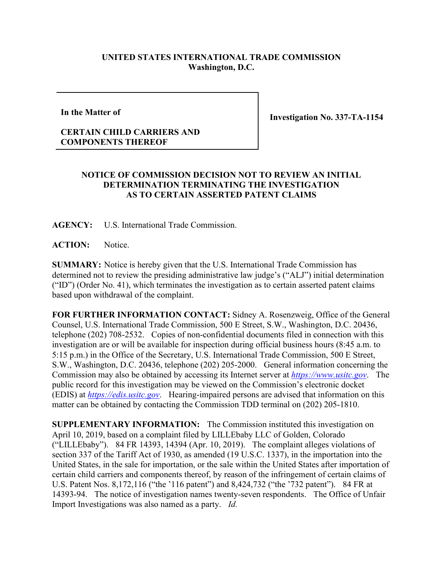## **UNITED STATES INTERNATIONAL TRADE COMMISSION Washington, D.C.**

**In the Matter of**

**Investigation No. 337-TA-1154**

## **CERTAIN CHILD CARRIERS AND COMPONENTS THEREOF**

## **NOTICE OF COMMISSION DECISION NOT TO REVIEW AN INITIAL DETERMINATION TERMINATING THE INVESTIGATION AS TO CERTAIN ASSERTED PATENT CLAIMS**

**AGENCY:** U.S. International Trade Commission.

ACTION: Notice.

**SUMMARY:** Notice is hereby given that the U.S. International Trade Commission has determined not to review the presiding administrative law judge's ("ALJ") initial determination ("ID") (Order No. 41), which terminates the investigation as to certain asserted patent claims based upon withdrawal of the complaint.

**FOR FURTHER INFORMATION CONTACT:** Sidney A. Rosenzweig, Office of the General Counsel, U.S. International Trade Commission, 500 E Street, S.W., Washington, D.C. 20436, telephone (202) 708-2532. Copies of non-confidential documents filed in connection with this investigation are or will be available for inspection during official business hours (8:45 a.m. to 5:15 p.m.) in the Office of the Secretary, U.S. International Trade Commission, 500 E Street, S.W., Washington, D.C. 20436, telephone (202) 205-2000. General information concerning the Commission may also be obtained by accessing its Internet server at *[https://www.usitc.gov](https://www.usitc.gov/)*. The public record for this investigation may be viewed on the Commission's electronic docket (EDIS) at *[https://edis.usitc.gov](https://edis.usitc.gov/)*. Hearing-impaired persons are advised that information on this matter can be obtained by contacting the Commission TDD terminal on (202) 205-1810.

**SUPPLEMENTARY INFORMATION:** The Commission instituted this investigation on April 10, 2019, based on a complaint filed by LILLEbaby LLC of Golden, Colorado ("LILLEbaby"). 84 FR 14393, 14394 (Apr. 10, 2019). The complaint alleges violations of section 337 of the Tariff Act of 1930, as amended (19 U.S.C. 1337), in the importation into the United States, in the sale for importation, or the sale within the United States after importation of certain child carriers and components thereof, by reason of the infringement of certain claims of U.S. Patent Nos. 8,172,116 ("the '116 patent") and 8,424,732 ("the '732 patent"). 84 FR at 14393-94. The notice of investigation names twenty-seven respondents. The Office of Unfair Import Investigations was also named as a party. *Id.*